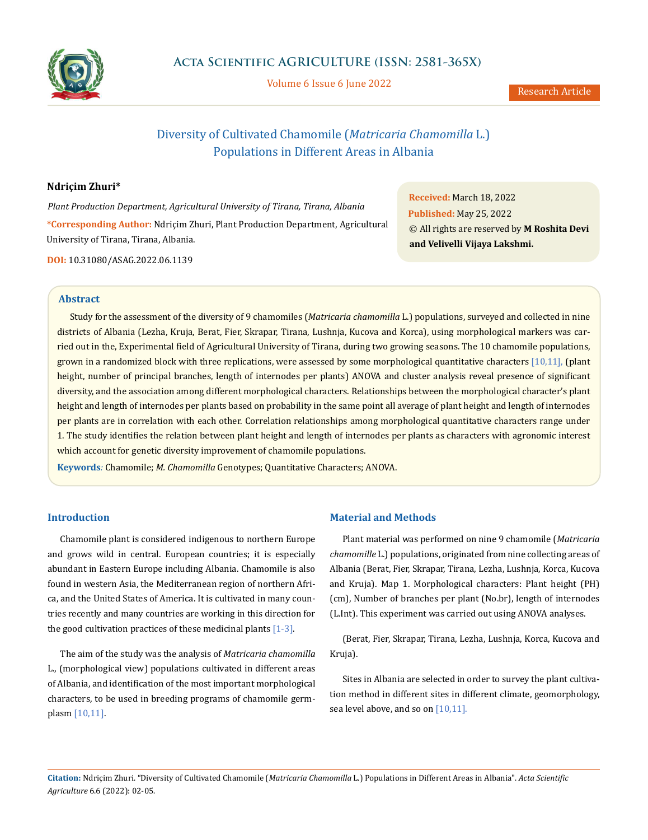

Volume 6 Issue 6 June 2022

# Diversity of Cultivated Chamomile (*Matricaria Chamomilla* L.) Populations in Different Areas in Albania

# **Ndriçim Zhuri\***

*Plant Production Department, Agricultural University of Tirana, Tirana, Albania* **\*Corresponding Author:** Ndriçim Zhuri, Plant Production Department, Agricultural University of Tirana, Tirana, Albania.

**DOI:** [10.31080/ASAG.2022.06.1139](https://actascientific.com/ASAG/pdf/ASAG-06-1139.pdf)

**Received:** March 18, 2022 **Published:** May 25, 2022 © All rights are reserved by **M Roshita Devi and Velivelli Vijaya Lakshmi.**

#### **Abstract**

Study for the assessment of the diversity of 9 chamomiles (*Matricaria chamomilla* L.) populations, surveyed and collected in nine districts of Albania (Lezha, Kruja, Berat, Fier, Skrapar, Tirana, Lushnja, Kucova and Korca), using morphological markers was carried out in the, Experimental field of Agricultural University of Tirana, during two growing seasons. The 10 chamomile populations, grown in a randomized block with three replications, were assessed by some morphological quantitative characters [10,11], (plant height, number of principal branches, length of internodes per plants) ANOVA and cluster analysis reveal presence of significant diversity, and the association among different morphological characters. Relationships between the morphological character's plant height and length of internodes per plants based on probability in the same point all average of plant height and length of internodes per plants are in correlation with each other. Correlation relationships among morphological quantitative characters range under 1. The study identifies the relation between plant height and length of internodes per plants as characters with agronomic interest which account for genetic diversity improvement of chamomile populations.

**Keywords***:* Chamomile; *M. Chamomilla* Genotypes; Quantitative Characters; ANOVA.

## **Introduction**

Chamomile plant is considered indigenous to northern Europe and grows wild in central. European countries; it is especially abundant in Eastern Europe including Albania. Chamomile is also found in western Asia, the Mediterranean region of northern Africa, and the United States of America. It is cultivated in many countries recently and many countries are working in this direction for the good cultivation practices of these medicinal plants [1-3].

The aim of the study was the analysis of *Matricaria chamomilla* L., (morphological view) populations cultivated in different areas of Albania, and identification of the most important morphological characters, to be used in breeding programs of chamomile germplasm [10,11].

## **Material and Methods**

Plant material was performed on nine 9 chamomile (*Matricaria chamomille* L.) populations, originated from nine collecting areas of Albania (Berat, Fier, Skrapar, Tirana, Lezha, Lushnja, Korca, Kucova and Kruja). Map 1. Morphological characters: Plant height (PH) (cm), Number of branches per plant (No.br), length of internodes (L.Int). This experiment was carried out using ANOVA analyses.

(Berat, Fier, Skrapar, Tirana, Lezha, Lushnja, Korca, Kucova and Kruja).

Sites in Albania are selected in order to survey the plant cultivation method in different sites in different climate, geomorphology, sea level above, and so on  $[10,11]$ .

**Citation:** Ndriçim Zhuri. "Diversity of Cultivated Chamomile (*Matricaria Chamomilla* L.) Populations in Different Areas in Albania". *Acta Scientific Agriculture* 6.6 (2022): 02-05.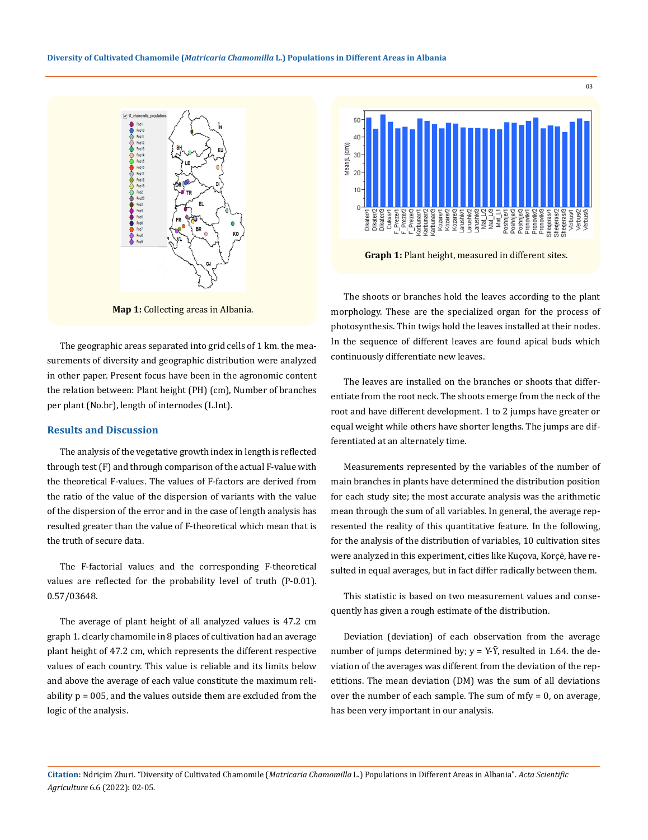

**Map 1:** Collecting areas in Albania.

The geographic areas separated into grid cells of 1 km. the measurements of diversity and geographic distribution were analyzed in other paper. Present focus have been in the agronomic content the relation between: Plant height (PH) (cm), Number of branches per plant (No.br), length of internodes (L.Int).

#### **Results and Discussion**

The analysis of the vegetative growth index in length is reflected through test (F) and through comparison of the actual F-value with the theoretical F-values. The values of F-factors are derived from the ratio of the value of the dispersion of variants with the value of the dispersion of the error and in the case of length analysis has resulted greater than the value of F-theoretical which mean that is the truth of secure data.

The F-factorial values and the corresponding F-theoretical values are reflected for the probability level of truth (P-0.01). 0.57/03648.

The average of plant height of all analyzed values is 47.2 cm graph 1. clearly chamomile in 8 places of cultivation had an average plant height of 47.2 cm, which represents the different respective values of each country. This value is reliable and its limits below and above the average of each value constitute the maximum reliability p = 005, and the values outside them are excluded from the logic of the analysis.



**Graph 1:** Plant height, measured in different sites.

The shoots or branches hold the leaves according to the plant morphology. These are the specialized organ for the process of photosynthesis. Thin twigs hold the leaves installed at their nodes. In the sequence of different leaves are found apical buds which continuously differentiate new leaves.

The leaves are installed on the branches or shoots that differentiate from the root neck. The shoots emerge from the neck of the root and have different development. 1 to 2 jumps have greater or equal weight while others have shorter lengths. The jumps are differentiated at an alternately time.

Measurements represented by the variables of the number of main branches in plants have determined the distribution position for each study site; the most accurate analysis was the arithmetic mean through the sum of all variables. In general, the average represented the reality of this quantitative feature. In the following, for the analysis of the distribution of variables, 10 cultivation sites were analyzed in this experiment, cities like Kuçova, Korçë, have resulted in equal averages, but in fact differ radically between them.

This statistic is based on two measurement values and consequently has given a rough estimate of the distribution.

Deviation (deviation) of each observation from the average number of jumps determined by;  $y = Y - \overline{Y}$ , resulted in 1.64. the deviation of the averages was different from the deviation of the repetitions. The mean deviation (DM) was the sum of all deviations over the number of each sample. The sum of  $mfy = 0$ , on average, has been very important in our analysis.

**Citation:** Ndriçim Zhuri. "Diversity of Cultivated Chamomile (*Matricaria Chamomilla* L.) Populations in Different Areas in Albania". *Acta Scientific Agriculture* 6.6 (2022): 02-05.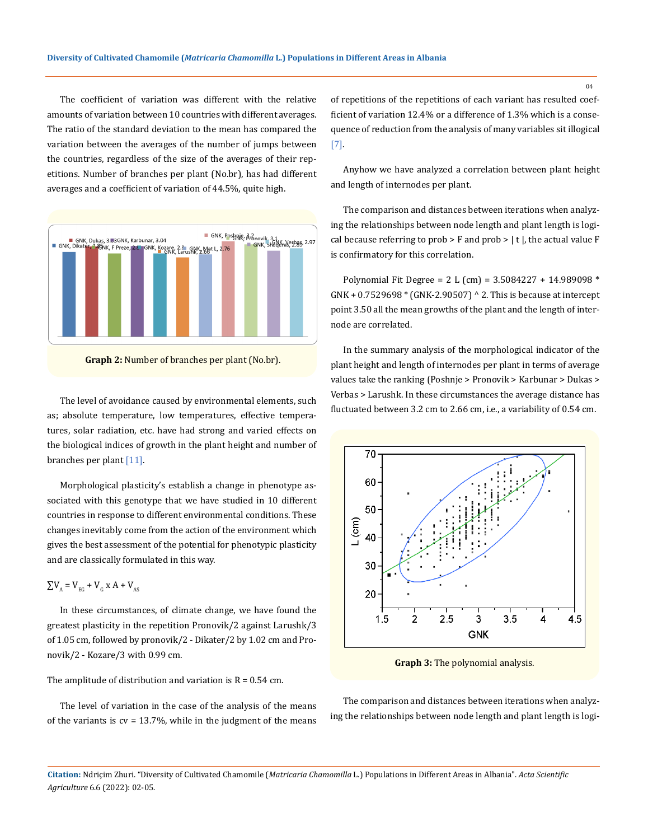The coefficient of variation was different with the relative amounts of variation between 10 countries with different averages. The ratio of the standard deviation to the mean has compared the variation between the averages of the number of jumps between the countries, regardless of the size of the averages of their repetitions. Number of branches per plant (No.br), has had different averages and a coefficient of variation of 44.5%, quite high.



as; absolute temperature, low temperatures, effective temperatures, solar radiation, etc. have had strong and varied effects on the biological indices of growth in the plant height and number of branches per plant [11].

Morphological plasticity's establish a change in phenotype associated with this genotype that we have studied in 10 different countries in response to different environmental conditions. These changes inevitably come from the action of the environment which gives the best assessment of the potential for phenotypic plasticity and are classically formulated in this way.

# $\sum V_{A} = V_{EC} + V_{C} X A + V_{AS}$

In these circumstances, of climate change, we have found the greatest plasticity in the repetition Pronovik/2 against Larushk/3 of 1.05 cm, followed by pronovik/2 - Dikater/2 by 1.02 cm and Pronovik/2 - Kozare/3 with 0.99 cm.

The amplitude of distribution and variation is  $R = 0.54$  cm.

The level of variation in the case of the analysis of the means of the variants is  $cv = 13.7\%$ , while in the judgment of the means of repetitions of the repetitions of each variant has resulted coefficient of variation 12.4% or a difference of 1.3% which is a consequence of reduction from the analysis of many variables sit illogical [7].

Anyhow we have analyzed a correlation between plant height and length of internodes per plant.

The comparison and distances between iterations when analyzing the relationships between node length and plant length is logical because referring to prob  $>$  F and prob  $>$  | t |, the actual value F is confirmatory for this correlation.

Polynomial Fit Degree = 2 L (cm) = 3.5084227 + 14.989098 \* GNK + 0.7529698 \* (GNK-2.90507) ^ 2. This is because at intercept point 3.50 all the mean growths of the plant and the length of internode are correlated.

In the summary analysis of the morphological indicator of the plant height and length of internodes per plant in terms of average values take the ranking (Poshnje > Pronovik > Karbunar > Dukas > Verbas > Larushk. In these circumstances the average distance has The level of avoidance caused by environmental elements, such the verbas  $>$  cal using in these chromstances the average distance has fluctuated between 3.2 cm to 2.66 cm, i.e., a variability of 0.54 cm.



**Graph 3:** The polynomial analysis.

The comparison and distances between iterations when analyzing the relationships between node length and plant length is logi-

**Citation:** Ndriçim Zhuri. "Diversity of Cultivated Chamomile (*Matricaria Chamomilla* L.) Populations in Different Areas in Albania". *Acta Scientific Agriculture* 6.6 (2022): 02-05.

 $04$